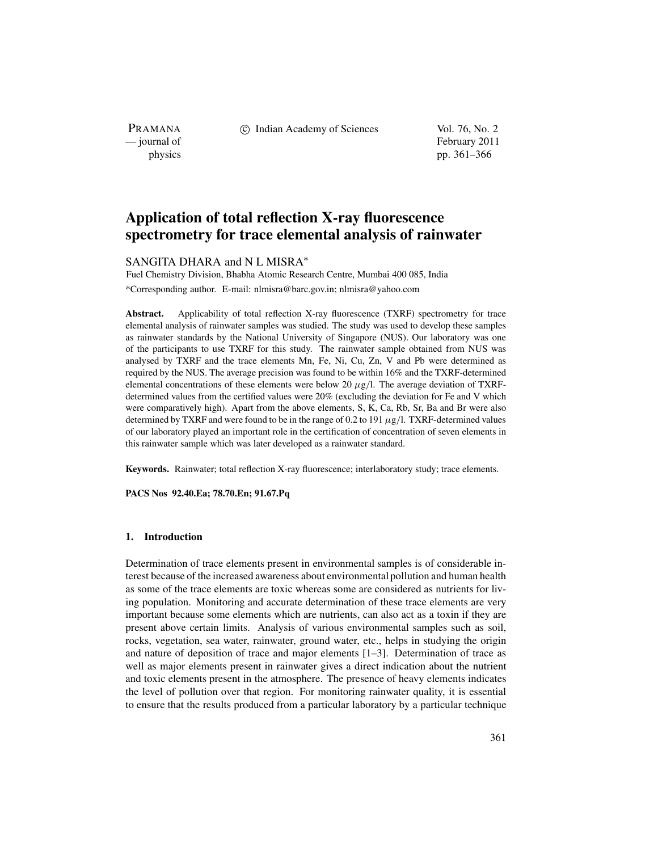PRAMANA<br>
— journal of

c Indian Academy of Sciences Vol. 76, No. 2

February 2011 physics pp. 361–366

# **Application of total reflection X-ray fluorescence spectrometry for trace elemental analysis of rainwater**

## SANGITA DHARA and N L MISRA<sup>\*</sup>

Fuel Chemistry Division, Bhabha Atomic Research Centre, Mumbai 400 085, India \*Corresponding author. E-mail: nlmisra@barc.gov.in; nlmisra@yahoo.com

Abstract. Applicability of total reflection X-ray fluorescence (TXRF) spectrometry for trace elemental analysis of rainwater samples was studied. The study was used to develop these samples as rainwater standards by the National University of Singapore (NUS). Our laboratory was one of the participants to use TXRF for this study. The rainwater sample obtained from NUS was analysed by TXRF and the trace elements Mn, Fe, Ni, Cu, Zn, V and Pb were determined as required by the NUS. The average precision was found to be within 16% and the TXRF-determined elemental concentrations of these elements were below 20  $\mu$ g/l. The average deviation of TXRFdetermined values from the certified values were 20% (excluding the deviation for Fe and V which were comparatively high). Apart from the above elements, S, K, Ca, Rb, Sr, Ba and Br were also determined by TXRF and were found to be in the range of 0.2 to 191  $\mu$ g/l. TXRF-determined values of our laboratory played an important role in the certification of concentration of seven elements in this rainwater sample which was later developed as a rainwater standard.

**Keywords.** Rainwater; total reflection X-ray fluorescence; interlaboratory study; trace elements.

**PACS Nos 92.40.Ea; 78.70.En; 91.67.Pq**

### **1. Introduction**

Determination of trace elements present in environmental samples is of considerable interest because of the increased awareness about environmental pollution and human health as some of the trace elements are toxic whereas some are considered as nutrients for living population. Monitoring and accurate determination of these trace elements are very important because some elements which are nutrients, can also act as a toxin if they are present above certain limits. Analysis of various environmental samples such as soil, rocks, vegetation, sea water, rainwater, ground water, etc., helps in studying the origin and nature of deposition of trace and major elements [1–3]. Determination of trace as well as major elements present in rainwater gives a direct indication about the nutrient and toxic elements present in the atmosphere. The presence of heavy elements indicates the level of pollution over that region. For monitoring rainwater quality, it is essential to ensure that the results produced from a particular laboratory by a particular technique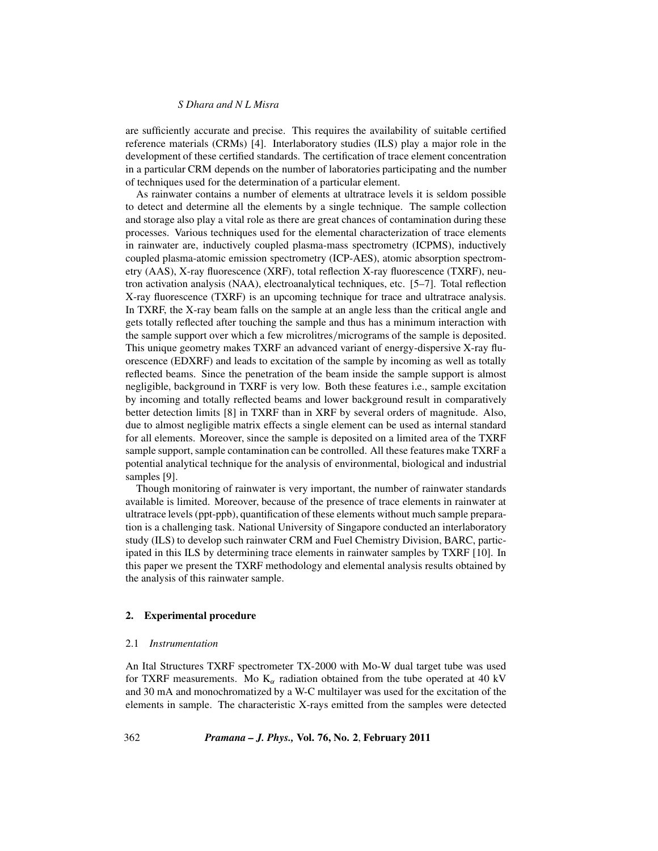### *S Dhara and N L Misra*

are sufficiently accurate and precise. This requires the availability of suitable certified reference materials (CRMs) [4]. Interlaboratory studies (ILS) play a major role in the development of these certified standards. The certification of trace element concentration in a particular CRM depends on the number of laboratories participating and the number of techniques used for the determination of a particular element.

As rainwater contains a number of elements at ultratrace levels it is seldom possible to detect and determine all the elements by a single technique. The sample collection and storage also play a vital role as there are great chances of contamination during these processes. Various techniques used for the elemental characterization of trace elements in rainwater are, inductively coupled plasma-mass spectrometry (ICPMS), inductively coupled plasma-atomic emission spectrometry (ICP-AES), atomic absorption spectrometry (AAS), X-ray fluorescence (XRF), total reflection X-ray fluorescence (TXRF), neutron activation analysis (NAA), electroanalytical techniques, etc. [5–7]. Total reflection X-ray fluorescence (TXRF) is an upcoming technique for trace and ultratrace analysis. In TXRF, the X-ray beam falls on the sample at an angle less than the critical angle and gets totally reflected after touching the sample and thus has a minimum interaction with the sample support over which a few microlitres/micrograms of the sample is deposited. This unique geometry makes TXRF an advanced variant of energy-dispersive X-ray fluorescence (EDXRF) and leads to excitation of the sample by incoming as well as totally reflected beams. Since the penetration of the beam inside the sample support is almost negligible, background in TXRF is very low. Both these features i.e., sample excitation by incoming and totally reflected beams and lower background result in comparatively better detection limits [8] in TXRF than in XRF by several orders of magnitude. Also, due to almost negligible matrix effects a single element can be used as internal standard for all elements. Moreover, since the sample is deposited on a limited area of the TXRF sample support, sample contamination can be controlled. All these features make TXRF a potential analytical technique for the analysis of environmental, biological and industrial samples [9].

Though monitoring of rainwater is very important, the number of rainwater standards available is limited. Moreover, because of the presence of trace elements in rainwater at ultratrace levels (ppt-ppb), quantification of these elements without much sample preparation is a challenging task. National University of Singapore conducted an interlaboratory study (ILS) to develop such rainwater CRM and Fuel Chemistry Division, BARC, participated in this ILS by determining trace elements in rainwater samples by TXRF [10]. In this paper we present the TXRF methodology and elemental analysis results obtained by the analysis of this rainwater sample.

### **2. Experimental procedure**

#### 2.1 *Instrumentation*

An Ital Structures TXRF spectrometer TX-2000 with Mo-W dual target tube was used for TXRF measurements. Mo  $K_{\alpha}$  radiation obtained from the tube operated at 40 kV and 30 mA and monochromatized by a W-C multilayer was used for the excitation of the elements in sample. The characteristic X-rays emitted from the samples were detected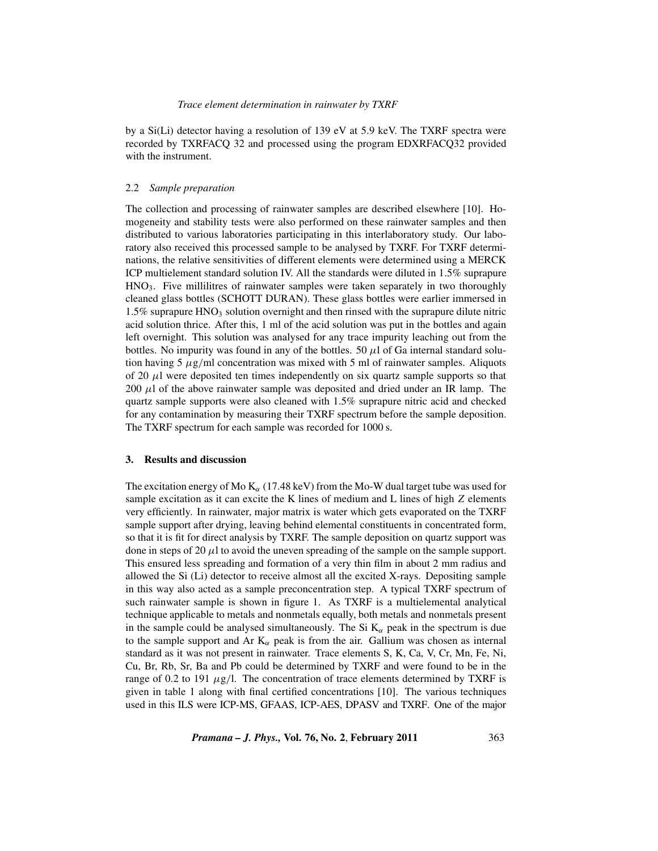by a Si(Li) detector having a resolution of 139 eV at 5.9 keV. The TXRF spectra were recorded by TXRFACQ 32 and processed using the program EDXRFACQ32 provided with the instrument.

#### 2.2 *Sample preparation*

The collection and processing of rainwater samples are described elsewhere [10]. Homogeneity and stability tests were also performed on these rainwater samples and then distributed to various laboratories participating in this interlaboratory study. Our laboratory also received this processed sample to be analysed by TXRF. For TXRF determinations, the relative sensitivities of different elements were determined using a MERCK ICP multielement standard solution IV. All the standards were diluted in 1.5% suprapure  $HNO<sub>3</sub>$ . Five millilitres of rainwater samples were taken separately in two thoroughly cleaned glass bottles (SCHOTT DURAN). These glass bottles were earlier immersed in 1.5% suprapure  $HNO<sub>3</sub>$  solution overnight and then rinsed with the suprapure dilute nitric acid solution thrice. After this, 1 ml of the acid solution was put in the bottles and again left overnight. This solution was analysed for any trace impurity leaching out from the bottles. No impurity was found in any of the bottles. 50  $\mu$ l of Ga internal standard solution having 5  $\mu$ g/ml concentration was mixed with 5 ml of rainwater samples. Aliquots of 20  $\mu$ l were deposited ten times independently on six quartz sample supports so that 200  $\mu$ l of the above rainwater sample was deposited and dried under an IR lamp. The quartz sample supports were also cleaned with 1.5% suprapure nitric acid and checked for any contamination by measuring their TXRF spectrum before the sample deposition. The TXRF spectrum for each sample was recorded for 1000 s.

## **3. Results and discussion**

The excitation energy of Mo  $K_{\alpha}$  (17.48 keV) from the Mo-W dual target tube was used for sample excitation as it can excite the K lines of medium and L lines of high *Z* elements very efficiently. In rainwater, major matrix is water which gets evaporated on the TXRF sample support after drying, leaving behind elemental constituents in concentrated form, so that it is fit for direct analysis by TXRF. The sample deposition on quartz support was done in steps of 20  $\mu$ l to avoid the uneven spreading of the sample on the sample support. This ensured less spreading and formation of a very thin film in about 2 mm radius and allowed the Si (Li) detector to receive almost all the excited X-rays. Depositing sample in this way also acted as a sample preconcentration step. A typical TXRF spectrum of such rainwater sample is shown in figure 1. As TXRF is a multielemental analytical technique applicable to metals and nonmetals equally, both metals and nonmetals present in the sample could be analysed simultaneously. The Si  $K_{\alpha}$  peak in the spectrum is due to the sample support and Ar  $K_{\alpha}$  peak is from the air. Gallium was chosen as internal standard as it was not present in rainwater. Trace elements S, K, Ca, V, Cr, Mn, Fe, Ni, Cu, Br, Rb, Sr, Ba and Pb could be determined by TXRF and were found to be in the range of 0.2 to 191  $\mu$ g/l. The concentration of trace elements determined by TXRF is given in table 1 along with final certified concentrations [10]. The various techniques used in this ILS were ICP-MS, GFAAS, ICP-AES, DPASV and TXRF. One of the major

*Pramana – J. Phys.,* **Vol. 76, No. 2**, **February 2011** 363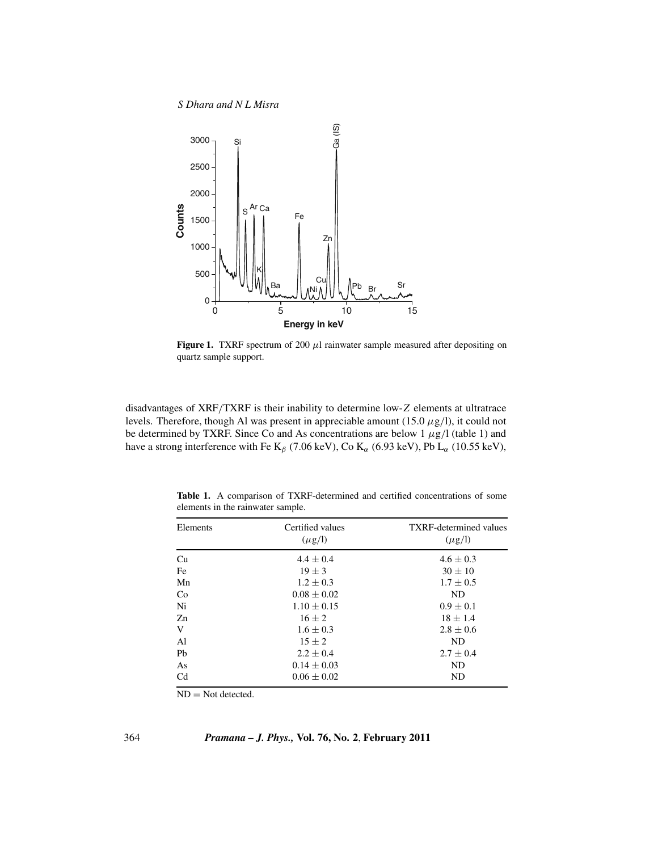*S Dhara and N L Misra*



**Figure 1.** TXRF spectrum of 200  $\mu$ l rainwater sample measured after depositing on quartz sample support.

disadvantages of XRF/TXRF is their inability to determine low-*Z* elements at ultratrace levels. Therefore, though Al was present in appreciable amount (15.0  $\mu$ g/l), it could not be determined by TXRF. Since Co and As concentrations are below 1  $\mu$ g/l (table 1) and have a strong interference with Fe K<sub>β</sub> (7.06 keV), Co K<sub>α</sub> (6.93 keV), Pb L<sub>α</sub> (10.55 keV),

**Table 1.** A comparison of TXRF-determined and certified concentrations of some elements in the rainwater sample.

| Elements       | Certified values<br>$(\mu$ g/l) | <b>TXRF-determined values</b><br>$(\mu g/l)$ |
|----------------|---------------------------------|----------------------------------------------|
| Cu             | $4.4 \pm 0.4$                   | $4.6 \pm 0.3$                                |
| Fe             | $19 \pm 3$                      | $30 \pm 10$                                  |
| Mn             | $1.2 \pm 0.3$                   | $1.7 \pm 0.5$                                |
| Co             | $0.08 \pm 0.02$                 | ND                                           |
| Ni             | $1.10 \pm 0.15$                 | $0.9 \pm 0.1$                                |
| $Z_{n}$        | $16 \pm 2$                      | $18 \pm 1.4$                                 |
| V              | $1.6 \pm 0.3$                   | $2.8 \pm 0.6$                                |
| Al             | $15 \pm 2$                      | N <sub>D</sub>                               |
| Pb             | $2.2 \pm 0.4$                   | $2.7 \pm 0.4$                                |
| As             | $0.14 \pm 0.03$                 | <b>ND</b>                                    |
| C <sub>d</sub> | $0.06 \pm 0.02$                 | ND                                           |
|                |                                 |                                              |

 $ND = Not detected.$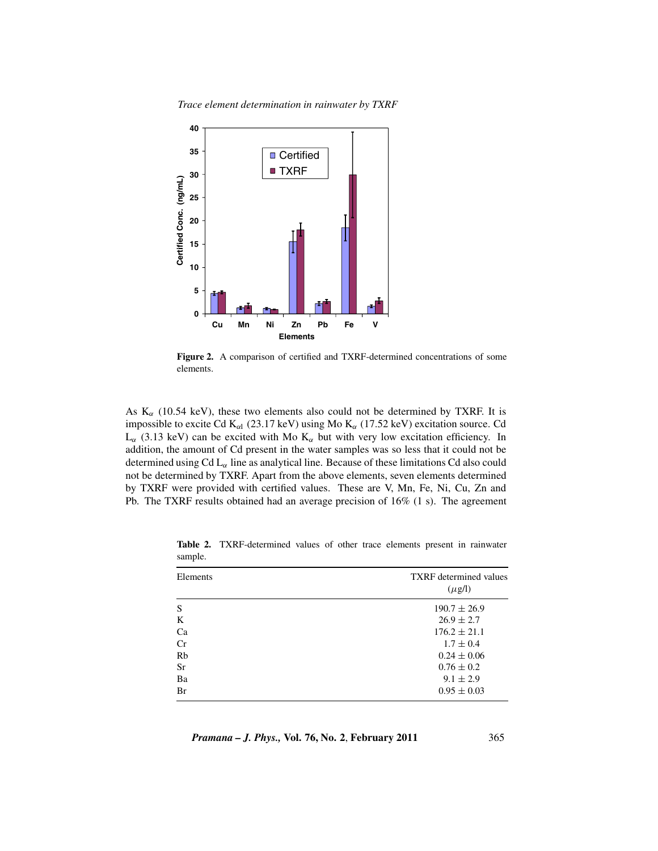*Trace element determination in rainwater by TXRF*



**Figure 2.** A comparison of certified and TXRF-determined concentrations of some elements.

As  $K_{\alpha}$  (10.54 keV), these two elements also could not be determined by TXRF. It is impossible to excite Cd  $K_{\alpha 1}$  (23.17 keV) using Mo  $K_{\alpha}$  (17.52 keV) excitation source. Cd  $L_{\alpha}$  (3.13 keV) can be excited with Mo K<sub> $\alpha$ </sub> but with very low excitation efficiency. In addition, the amount of Cd present in the water samples was so less that it could not be determined using Cd  $L_{\alpha}$  line as analytical line. Because of these limitations Cd also could not be determined by TXRF. Apart from the above elements, seven elements determined by TXRF were provided with certified values. These are V, Mn, Fe, Ni, Cu, Zn and Pb. The TXRF results obtained had an average precision of 16% (1 s). The agreement

| Elements  | <b>TXRF</b> determined values<br>$(\mu$ g/l) |
|-----------|----------------------------------------------|
| S         | $190.7 \pm 26.9$                             |
| K         | $26.9 \pm 2.7$                               |
| Ca        | $176.2 \pm 21.1$                             |
| Cr        | $1.7 \pm 0.4$                                |
| Rb        | $0.24 \pm 0.06$                              |
| <b>Sr</b> | $0.76 \pm 0.2$                               |
| Ba        | $9.1 \pm 2.9$                                |
| Br        | $0.95 \pm 0.03$                              |

**Table 2.** TXRF-determined values of other trace elements present in rainwater sample.

*Pramana – J. Phys.,* **Vol. 76, No. 2**, **February 2011** 365